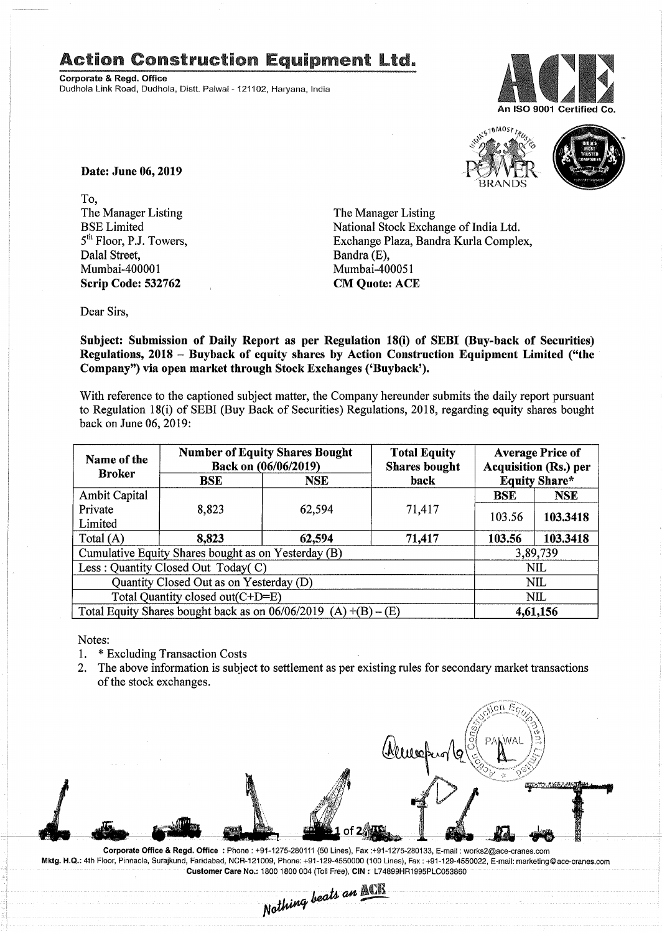## **Action Construction Equipment Ltd.**

Corporate & Regd. Office Dudhola Link Road, Dudhola, Distt. Palwal - 121102, Haryana, India





Date: June 06, 2019

To, The Manager Listing BSE Limited 5<sup>th</sup> Floor, P.J. Towers, Dalal Street, Mumbai-400001 Scrip Code: 532762

The Manager Listing National Stock Exchange of India Ltd. Exchange Plaza, Bandra Kurla Complex, Bandra (E), Mumbai-4000S1 CM Quote: ACE

Dear Sirs,

SUbject: Submission of Daily Report as per Regulation 18(i) of SEBI (Buy-back of Securities) Regulations, 2018 - Buyback of equity shares by Action Construction Equipment Limited ("the Company") via open market through Stock Exchanges ('Buyback').

With reference to the captioned subject matter, the Company hereunder submits the daily report pursuant to Regulation 18(i) of SEBI (Buy Back of Securities) Regulations, 2018, regarding equity shares bought back on June 06,2019:

| Name of the<br><b>Broker</b>                                      | <b>Number of Equity Shares Bought</b><br>Back on (06/06/2019) |            | <b>Total Equity</b><br><b>Shares bought</b> | <b>Average Price of</b><br><b>Acquisition (Rs.) per</b> |            |  |
|-------------------------------------------------------------------|---------------------------------------------------------------|------------|---------------------------------------------|---------------------------------------------------------|------------|--|
|                                                                   | BSE                                                           | <b>NSE</b> | back                                        | <b>Equity Share*</b>                                    |            |  |
| <b>Ambit Capital</b>                                              |                                                               |            |                                             | <b>BSE</b>                                              | <b>NSE</b> |  |
| Private                                                           | 8,823                                                         | 62,594     | 71,417                                      | 103.56                                                  | 103.3418   |  |
| Limited                                                           |                                                               |            |                                             |                                                         |            |  |
| Total $(A)$                                                       | 8,823                                                         | 62,594     | 71,417                                      | 103.56                                                  | 103.3418   |  |
| Cumulative Equity Shares bought as on Yesterday (B)               |                                                               |            |                                             |                                                         | 3,89,739   |  |
| Less: Quantity Closed Out Today(C)                                |                                                               |            |                                             | NIL                                                     |            |  |
| Quantity Closed Out as on Yesterday (D)                           |                                                               |            |                                             | <b>NIL</b>                                              |            |  |
| Total Quantity closed out(C+D=E)                                  |                                                               |            |                                             | NIL                                                     |            |  |
| Total Equity Shares bought back as on $06/06/2019$ (A) +(B) – (E) |                                                               |            |                                             | 4,61,156                                                |            |  |

Notes:

- 1. \* Excluding Transaction Costs
- 2. The above information is subject to settlement as per existing rules for secondary market transactions of the stock exchanges.



Corporate Office & Regd. Office: Phone: +91-1275-280111(50 Lines). Fax:+91-1275-280133, E-mail: works2@ace-cranes.com Mktg. H.Q.: 4th Floor, Pinnacle, Surajkund, Faridabad, NCR-121009, Phone: +91-129-4550000 (100 Lines), Fax: +91-129-4550022, E-mail: marketing@ace-cranes.com